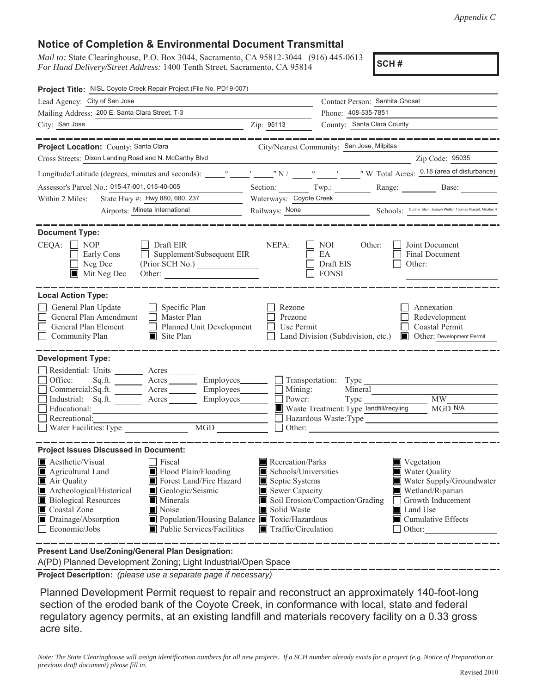## **Notice of Completion & Environmental Document Transmittal**

*Mail to:* State Clearinghouse, P.O. Box 3044, Sacramento, CA 95812-3044 (916) 445-0613 *For Hand Delivery/Street Address:* 1400 Tenth Street, Sacramento, CA 95814

**SCH #**

| Project Title: NISL Coyote Creek Repair Project (File No. PD19-007)                                                                                                                                                                     |                                                                                                                                                                                  |                                                                                                                                   |                                        |                                                                                    |                                                                                                                                              |
|-----------------------------------------------------------------------------------------------------------------------------------------------------------------------------------------------------------------------------------------|----------------------------------------------------------------------------------------------------------------------------------------------------------------------------------|-----------------------------------------------------------------------------------------------------------------------------------|----------------------------------------|------------------------------------------------------------------------------------|----------------------------------------------------------------------------------------------------------------------------------------------|
| Lead Agency: City of San Jose                                                                                                                                                                                                           | Contact Person: Sanhita Ghosal                                                                                                                                                   |                                                                                                                                   |                                        |                                                                                    |                                                                                                                                              |
| Mailing Address: 200 E. Santa Clara Street, T-3                                                                                                                                                                                         | Phone: 408-535-7851                                                                                                                                                              |                                                                                                                                   |                                        |                                                                                    |                                                                                                                                              |
| City: San Jose<br><u> 1989 - Johann Barbara, martin a</u>                                                                                                                                                                               | Zip: 95113                                                                                                                                                                       |                                                                                                                                   | County: Santa Clara County             |                                                                                    |                                                                                                                                              |
|                                                                                                                                                                                                                                         | _________                                                                                                                                                                        |                                                                                                                                   |                                        |                                                                                    |                                                                                                                                              |
| Project Location: County: Santa Clara                                                                                                                                                                                                   | <u> 1990 - Johann Barbara, politik eta politik eta politik eta politik eta politik eta politik eta politik eta p</u>                                                             | City/Nearest Community: San Jose, Milpitas                                                                                        |                                        |                                                                                    |                                                                                                                                              |
| Cross Streets: Dixon Landing Road and N. McCarthy Blvd                                                                                                                                                                                  |                                                                                                                                                                                  |                                                                                                                                   |                                        |                                                                                    | Zip Code: 95035                                                                                                                              |
|                                                                                                                                                                                                                                         |                                                                                                                                                                                  |                                                                                                                                   |                                        |                                                                                    |                                                                                                                                              |
| Assessor's Parcel No.: 015-47-001, 015-40-005                                                                                                                                                                                           |                                                                                                                                                                                  | Section: Twp.:                                                                                                                    |                                        |                                                                                    | Range: Base:                                                                                                                                 |
| State Hwy #: Hwy 880, 680, 237<br>Within 2 Miles:                                                                                                                                                                                       |                                                                                                                                                                                  | Waterways: Coyote Creek                                                                                                           |                                        |                                                                                    |                                                                                                                                              |
|                                                                                                                                                                                                                                         | Airports: Mineta International                                                                                                                                                   | Railways: <u>None</u> Schools: Curtner Elem, Joseph Weller, Thomas Russel, Milpitas H                                             |                                        |                                                                                    |                                                                                                                                              |
| <b>Document Type:</b><br>$CEQA: \Box NOP$<br>$\Box$ Draft EIR<br>Early Cons<br>Neg Dec<br>Mit Neg Dec                                                                                                                                   | $\Box$ Supplement/Subsequent EIR<br>(Prior SCH No.)<br>Other:                                                                                                                    | NEPA:                                                                                                                             | NOI<br>EA<br>Draft EIS<br><b>FONSI</b> | Other:                                                                             | Joint Document<br>Final Document<br>Other:                                                                                                   |
| <b>Local Action Type:</b><br>General Plan Update<br>General Plan Amendment<br>General Plan Element<br>Community Plan                                                                                                                    | $\Box$ Specific Plan<br>$\Box$ Master Plan<br>Planned Unit Development<br>$\blacksquare$ Site Plan                                                                               | Rezone<br>Prezone<br>Use Permit                                                                                                   | Land Division (Subdivision, etc.)      |                                                                                    | Annexation<br>Redevelopment<br>Coastal Permit<br>Other: Development Permit                                                                   |
| <b>Development Type:</b><br>Residential: Units ________ Acres _______<br>Office:<br>Commercial:Sq.ft. ________ Acres ________ Employees _______ $\Box$<br>Industrial: Sq.ft.<br>Educational:<br>Recreational:<br>Water Facilities: Type | Sq.ft. ________ Acres _________ Employees _______ __ Transportation: Type _______<br>Acres Employees<br>$\overline{\text{MGD}}$                                                  |                                                                                                                                   | Mining:<br>Power:                      | Mineral<br>Type $\_\_$<br>Waste Treatment: Type landfill/recyling<br>$\Box$ Other: | <b>MW</b><br>MGD N/A                                                                                                                         |
| <b>Project Issues Discussed in Document:</b><br>Aesthetic/Visual<br>Agricultural Land<br>Air Quality<br>Archeological/Historical<br><b>Biological Resources</b><br>Coastal Zone<br>Noise<br>Drainage/Absorption<br>Economic/Jobs        | □ Fiscal<br>Flood Plain/Flooding<br>Forest Land/Fire Hazard<br>Geologic/Seismic<br><b>I</b> Minerals<br>Population/Housing Balance Toxic/Hazardous<br>Public Services/Facilities | Recreation/Parks<br>Schools/Universities<br>Septic Systems<br>Sewer Capacity<br>Solid Waste<br>$\blacksquare$ Traffic/Circulation | Soil Erosion/Compaction/Grading        | Land Use<br>Other:                                                                 | Vegetation<br><b>Water Quality</b><br>Water Supply/Groundwater<br>Wetland/Riparian<br>Growth Inducement<br>$\blacksquare$ Cumulative Effects |
| <b>Drogont Land Hoo/Zoning/Conoral Plan Depignation:</b>                                                                                                                                                                                |                                                                                                                                                                                  |                                                                                                                                   |                                        |                                                                                    |                                                                                                                                              |

**Present Land Use/Zoning/General Plan Designation:**

A(PD) Planned Development Zoning; Light Industrial/Open Space

**Project Description:** *(please use a separate page if necessary)*

 Planned Development Permit request to repair and reconstruct an approximately 140-foot-long section of the eroded bank of the Coyote Creek, in conformance with local, state and federal regulatory agency permits, at an existing landfill and materials recovery facility on a 0.33 gross acre site.

*Note: The State Clearinghouse will assign identification numbers for all new projects. If a SCH number already exists for a project (e.g. Notice of Preparation or previous draft document) please fill in.*